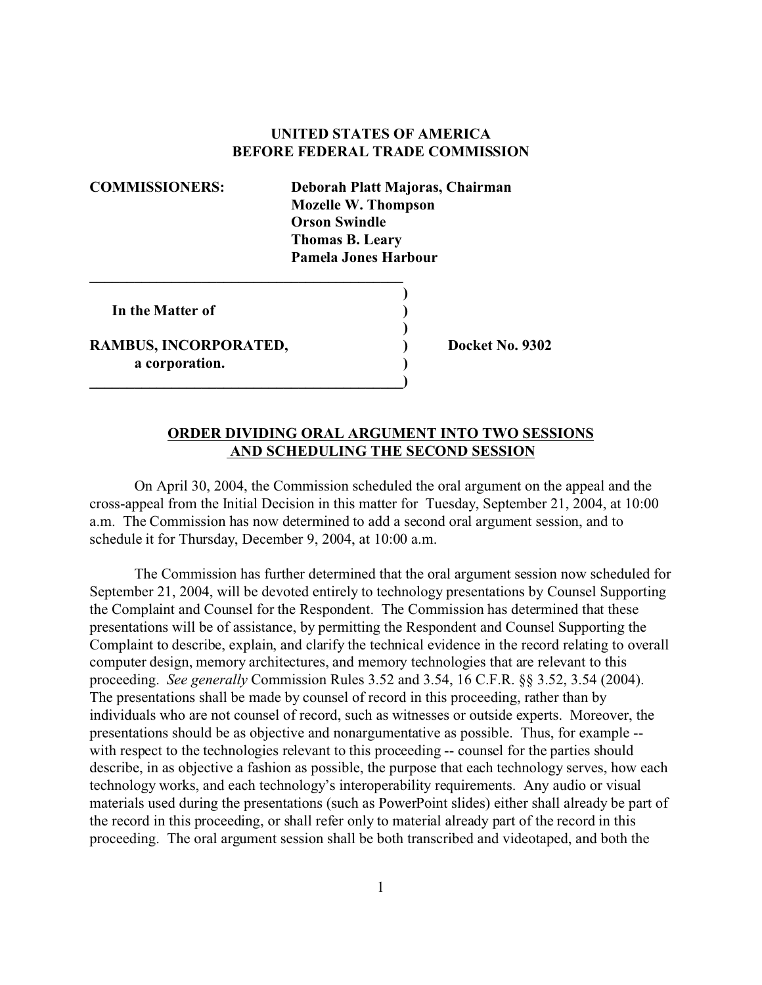## **UNITED STATES OF AMERICA BEFORE FEDERAL TRADE COMMISSION**

**COMMISSIONERS: Deborah Platt Majoras, Chairman Mozelle W. Thompson Orson Swindle Thomas B. Leary Pamela Jones Harbour**

**)**

**)**

**In the Matter of )**

**RAMBUS, INCORPORATED, ) Docket No. 9302 a corporation. )**

**\_\_\_\_\_\_\_\_\_\_\_\_\_\_\_\_\_\_\_\_\_\_\_\_\_\_\_\_\_\_\_\_\_\_\_\_\_\_\_\_\_\_**

**\_\_\_\_\_\_\_\_\_\_\_\_\_\_\_\_\_\_\_\_\_\_\_\_\_\_\_\_\_\_\_\_\_\_\_\_\_\_\_\_\_\_)**

## **ORDER DIVIDING ORAL ARGUMENT INTO TWO SESSIONS AND SCHEDULING THE SECOND SESSION**

On April 30, 2004, the Commission scheduled the oral argument on the appeal and the cross-appeal from the Initial Decision in this matter for Tuesday, September 21, 2004, at 10:00 a.m. The Commission has now determined to add a second oral argument session, and to schedule it for Thursday, December 9, 2004, at 10:00 a.m.

The Commission has further determined that the oral argument session now scheduled for September 21, 2004, will be devoted entirely to technology presentations by Counsel Supporting the Complaint and Counsel for the Respondent. The Commission has determined that these presentations will be of assistance, by permitting the Respondent and Counsel Supporting the Complaint to describe, explain, and clarify the technical evidence in the record relating to overall computer design, memory architectures, and memory technologies that are relevant to this proceeding. *See generally* Commission Rules 3.52 and 3.54, 16 C.F.R. §§ 3.52, 3.54 (2004). The presentations shall be made by counsel of record in this proceeding, rather than by individuals who are not counsel of record, such as witnesses or outside experts. Moreover, the presentations should be as objective and nonargumentative as possible. Thus, for example - with respect to the technologies relevant to this proceeding -- counsel for the parties should describe, in as objective a fashion as possible, the purpose that each technology serves, how each technology works, and each technology's interoperability requirements. Any audio or visual materials used during the presentations (such as PowerPoint slides) either shall already be part of the record in this proceeding, or shall refer only to material already part of the record in this proceeding. The oral argument session shall be both transcribed and videotaped, and both the